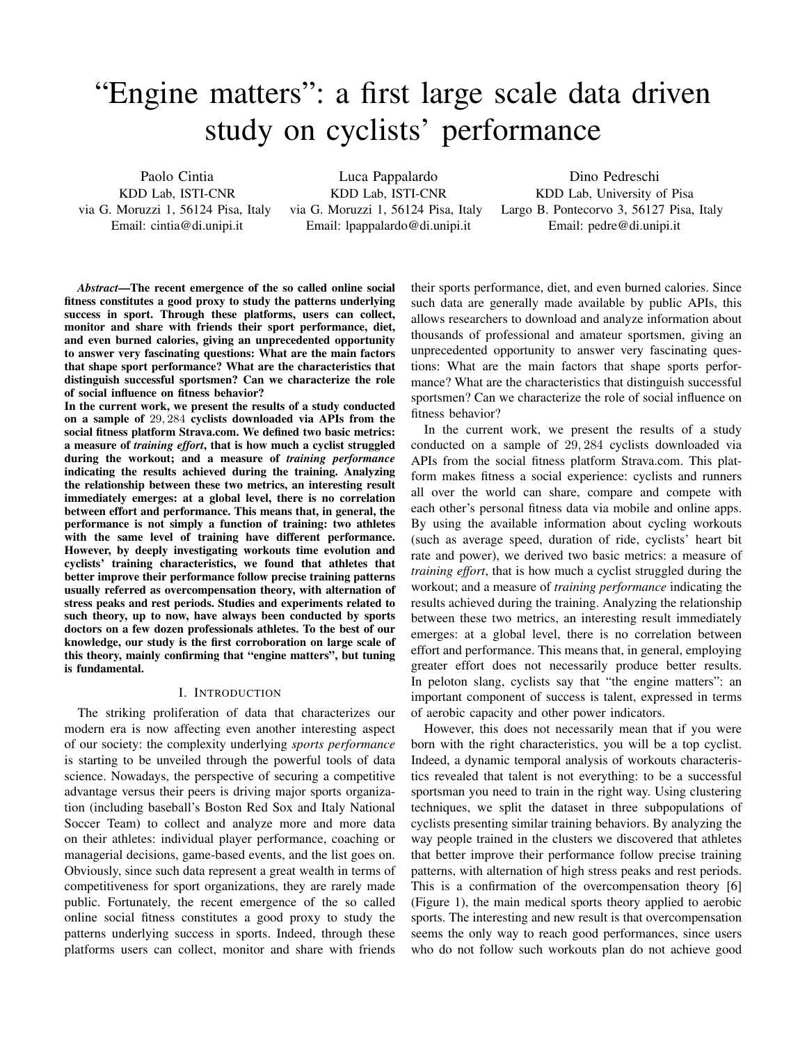# "Engine matters": a first large scale data driven study on cyclists' performance

Paolo Cintia KDD Lab, ISTI-CNR via G. Moruzzi 1, 56124 Pisa, Italy Email: cintia@di.unipi.it

Luca Pappalardo KDD Lab, ISTI-CNR via G. Moruzzi 1, 56124 Pisa, Italy Email: lpappalardo@di.unipi.it

Dino Pedreschi KDD Lab, University of Pisa Largo B. Pontecorvo 3, 56127 Pisa, Italy Email: pedre@di.unipi.it

*Abstract*—The recent emergence of the so called online social fitness constitutes a good proxy to study the patterns underlying success in sport. Through these platforms, users can collect, monitor and share with friends their sport performance, diet, and even burned calories, giving an unprecedented opportunity to answer very fascinating questions: What are the main factors that shape sport performance? What are the characteristics that distinguish successful sportsmen? Can we characterize the role of social influence on fitness behavior?

In the current work, we present the results of a study conducted on a sample of 29, 284 cyclists downloaded via APIs from the social fitness platform Strava.com. We defined two basic metrics: a measure of *training effort*, that is how much a cyclist struggled during the workout; and a measure of *training performance* indicating the results achieved during the training. Analyzing the relationship between these two metrics, an interesting result immediately emerges: at a global level, there is no correlation between effort and performance. This means that, in general, the performance is not simply a function of training: two athletes with the same level of training have different performance. However, by deeply investigating workouts time evolution and cyclists' training characteristics, we found that athletes that better improve their performance follow precise training patterns usually referred as overcompensation theory, with alternation of stress peaks and rest periods. Studies and experiments related to such theory, up to now, have always been conducted by sports doctors on a few dozen professionals athletes. To the best of our knowledge, our study is the first corroboration on large scale of this theory, mainly confirming that "engine matters", but tuning is fundamental.

# I. INTRODUCTION

The striking proliferation of data that characterizes our modern era is now affecting even another interesting aspect of our society: the complexity underlying *sports performance* is starting to be unveiled through the powerful tools of data science. Nowadays, the perspective of securing a competitive advantage versus their peers is driving major sports organization (including baseball's Boston Red Sox and Italy National Soccer Team) to collect and analyze more and more data on their athletes: individual player performance, coaching or managerial decisions, game-based events, and the list goes on. Obviously, since such data represent a great wealth in terms of competitiveness for sport organizations, they are rarely made public. Fortunately, the recent emergence of the so called online social fitness constitutes a good proxy to study the patterns underlying success in sports. Indeed, through these platforms users can collect, monitor and share with friends

their sports performance, diet, and even burned calories. Since such data are generally made available by public APIs, this allows researchers to download and analyze information about thousands of professional and amateur sportsmen, giving an unprecedented opportunity to answer very fascinating questions: What are the main factors that shape sports performance? What are the characteristics that distinguish successful sportsmen? Can we characterize the role of social influence on fitness behavior?

In the current work, we present the results of a study conducted on a sample of 29, 284 cyclists downloaded via APIs from the social fitness platform Strava.com. This platform makes fitness a social experience: cyclists and runners all over the world can share, compare and compete with each other's personal fitness data via mobile and online apps. By using the available information about cycling workouts (such as average speed, duration of ride, cyclists' heart bit rate and power), we derived two basic metrics: a measure of *training effort*, that is how much a cyclist struggled during the workout; and a measure of *training performance* indicating the results achieved during the training. Analyzing the relationship between these two metrics, an interesting result immediately emerges: at a global level, there is no correlation between effort and performance. This means that, in general, employing greater effort does not necessarily produce better results. In peloton slang, cyclists say that "the engine matters": an important component of success is talent, expressed in terms of aerobic capacity and other power indicators.

However, this does not necessarily mean that if you were born with the right characteristics, you will be a top cyclist. Indeed, a dynamic temporal analysis of workouts characteristics revealed that talent is not everything: to be a successful sportsman you need to train in the right way. Using clustering techniques, we split the dataset in three subpopulations of cyclists presenting similar training behaviors. By analyzing the way people trained in the clusters we discovered that athletes that better improve their performance follow precise training patterns, with alternation of high stress peaks and rest periods. This is a confirmation of the overcompensation theory [6] (Figure 1), the main medical sports theory applied to aerobic sports. The interesting and new result is that overcompensation seems the only way to reach good performances, since users who do not follow such workouts plan do not achieve good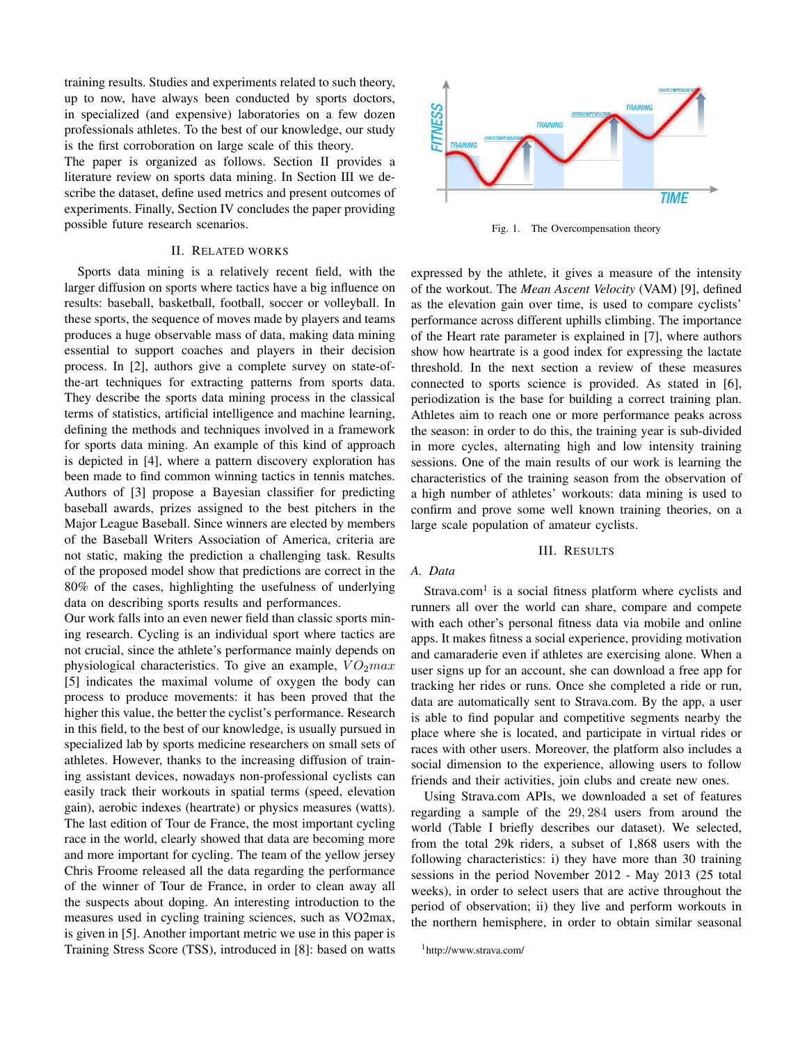training results. Studies and experiments related to such theory, up to now, have always been conducted by sports doctors, in specialized (and expensive) laboratories on a few dozen professionals athletes. To the best of our knowledge, our study is the first corroboration on large scale of this theory.

The paper is organized as follows. Section II provides a literature review on sports data mining. In Section III we describe the dataset, define used metrics and present outcomes of experiments. Finally, Section IV concludes the paper providing possible future research scenarios.

#### II. RELATED WORKS

Sports data mining is a relatively recent field, with the larger diffusion on sports where tactics have a big influence on results: baseball, basketball, football, soccer or volleyball. In these sports, the sequence of moves made by players and teams produces a huge observable mass of data, making data mining essential to support coaches and players in their decision process. In [2], authors give a complete survey on state-ofthe-art techniques for extracting patterns from sports data. They describe the sports data mining process in the classical terms of statistics, artificial intelligence and machine learning, defining the methods and techniques involved in a framework for sports data mining. An example of this kind of approach is depicted in [4], where a pattern discovery exploration has been made to find common winning tactics in tennis matches. Authors of [3] propose a Bayesian classifier for predicting baseball awards, prizes assigned to the best pitchers in the Major League Baseball. Since winners are elected by members of the Baseball Writers Association of America, criteria are not static, making the prediction a challenging task. Results of the proposed model show that predictions are correct in the 80% of the cases, highlighting the usefulness of underlying data on describing sports results and performances.

Our work falls into an even newer field than classic sports mining research. Cycling is an individual sport where tactics are not crucial, since the athlete's performance mainly depends on physiological characteristics. To give an example,  $VO<sub>2</sub>max$ [5] indicates the maximal volume of oxygen the body can process to produce movements: it has been proved that the higher this value, the better the cyclist's performance. Research in this field, to the best of our knowledge, is usually pursued in specialized lab by sports medicine researchers on small sets of athletes. However, thanks to the increasing diffusion of training assistant devices, nowadays non-professional cyclists can easily track their workouts in spatial terms (speed, elevation gain), aerobic indexes (heartrate) or physics measures (watts). The last edition of Tour de France, the most important cycling race in the world, clearly showed that data are becoming more and more important for cycling. The team of the yellow jersey Chris Froome released all the data regarding the performance of the winner of Tour de France, in order to clean away all the suspects about doping. An interesting introduction to the measures used in cycling training sciences, such as VO2max, is given in [5]. Another important metric we use in this paper is Training Stress Score (TSS), introduced in [8]: based on watts



Fig. 1. The Overcompensation theory

expressed by the athlete, it gives a measure of the intensity of the workout. The *Mean Ascent Velocity* (VAM) [9], defined as the elevation gain over time, is used to compare cyclists' performance across different uphills climbing. The importance of the Heart rate parameter is explained in [7], where authors show how heartrate is a good index for expressing the lactate threshold. In the next section a review of these measures connected to sports science is provided. As stated in [6], periodization is the base for building a correct training plan. Athletes aim to reach one or more performance peaks across the season: in order to do this, the training year is sub-divided in more cycles, alternating high and low intensity training sessions. One of the main results of our work is learning the characteristics of the training season from the observation of a high number of athletes' workouts: data mining is used to confirm and prove some well known training theories, on a large scale population of amateur cyclists.

# III. RESULTS

## *A. Data*

Strava.com<sup>1</sup> is a social fitness platform where cyclists and runners all over the world can share, compare and compete with each other's personal fitness data via mobile and online apps. It makes fitness a social experience, providing motivation and camaraderie even if athletes are exercising alone. When a user signs up for an account, she can download a free app for tracking her rides or runs. Once she completed a ride or run, data are automatically sent to Strava.com. By the app, a user is able to find popular and competitive segments nearby the place where she is located, and participate in virtual rides or races with other users. Moreover, the platform also includes a social dimension to the experience, allowing users to follow friends and their activities, join clubs and create new ones.

Using Strava.com APIs, we downloaded a set of features regarding a sample of the 29, 284 users from around the world (Table I briefly describes our dataset). We selected, from the total 29k riders, a subset of 1,868 users with the following characteristics: i) they have more than 30 training sessions in the period November 2012 - May 2013 (25 total weeks), in order to select users that are active throughout the period of observation; ii) they live and perform workouts in the northern hemisphere, in order to obtain similar seasonal

<sup>1</sup>http://www.strava.com/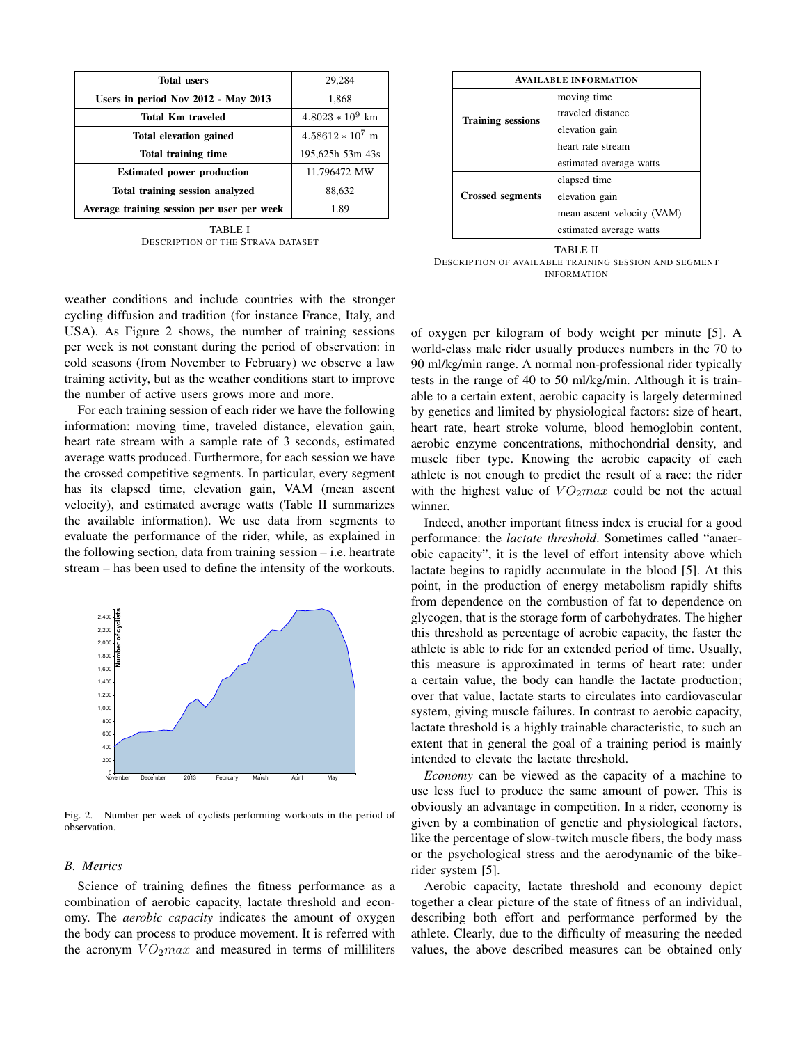| <b>Total users</b>                         | 29,284             |  |
|--------------------------------------------|--------------------|--|
| Users in period Nov 2012 - May 2013        | 1,868              |  |
| Total Km traveled                          | $4.8023 * 10^9$ km |  |
| Total elevation gained                     | $4.58612 * 10^7$ m |  |
| Total training time                        | 195,625h 53m 43s   |  |
| <b>Estimated power production</b>          | 11.796472 MW       |  |
| Total training session analyzed            | 88,632             |  |
| Average training session per user per week | 1.89               |  |

TABLE I DESCRIPTION OF THE STRAVA DATASET

| <b>AVAILABLE INFORMATION</b> |                            |  |  |
|------------------------------|----------------------------|--|--|
|                              | moving time                |  |  |
| <b>Training sessions</b>     | traveled distance          |  |  |
|                              | elevation gain             |  |  |
|                              | heart rate stream          |  |  |
|                              | estimated average watts    |  |  |
|                              | elapsed time               |  |  |
| <b>Crossed segments</b>      | elevation gain             |  |  |
|                              | mean ascent velocity (VAM) |  |  |
|                              | estimated average watts    |  |  |

TABLE II DESCRIPTION OF AVAILABLE TRAINING SESSION AND SEGMENT INFORMATION

weather conditions and include countries with the stronger cycling diffusion and tradition (for instance France, Italy, and USA). As Figure 2 shows, the number of training sessions per week is not constant during the period of observation: in cold seasons (from November to February) we observe a law training activity, but as the weather conditions start to improve the number of active users grows more and more.

For each training session of each rider we have the following information: moving time, traveled distance, elevation gain, heart rate stream with a sample rate of 3 seconds, estimated average watts produced. Furthermore, for each session we have the crossed competitive segments. In particular, every segment has its elapsed time, elevation gain, VAM (mean ascent velocity), and estimated average watts (Table II summarizes the available information). We use data from segments to evaluate the performance of the rider, while, as explained in the following section, data from training session – i.e. heartrate stream – has been used to define the intensity of the workouts.



Fig. 2. Number per week of cyclists performing workouts in the period of observation.

#### *B. Metrics*

Science of training defines the fitness performance as a combination of aerobic capacity, lactate threshold and economy. The *aerobic capacity* indicates the amount of oxygen the body can process to produce movement. It is referred with the acronym  $VO<sub>2</sub>max$  and measured in terms of milliliters of oxygen per kilogram of body weight per minute [5]. A world-class male rider usually produces numbers in the 70 to 90 ml/kg/min range. A normal non-professional rider typically tests in the range of 40 to 50 ml/kg/min. Although it is trainable to a certain extent, aerobic capacity is largely determined by genetics and limited by physiological factors: size of heart, heart rate, heart stroke volume, blood hemoglobin content, aerobic enzyme concentrations, mithochondrial density, and muscle fiber type. Knowing the aerobic capacity of each athlete is not enough to predict the result of a race: the rider with the highest value of  $VO<sub>2</sub>max$  could be not the actual winner.

Indeed, another important fitness index is crucial for a good performance: the *lactate threshold*. Sometimes called "anaerobic capacity", it is the level of effort intensity above which lactate begins to rapidly accumulate in the blood [5]. At this point, in the production of energy metabolism rapidly shifts from dependence on the combustion of fat to dependence on glycogen, that is the storage form of carbohydrates. The higher this threshold as percentage of aerobic capacity, the faster the athlete is able to ride for an extended period of time. Usually, this measure is approximated in terms of heart rate: under a certain value, the body can handle the lactate production; over that value, lactate starts to circulates into cardiovascular system, giving muscle failures. In contrast to aerobic capacity, lactate threshold is a highly trainable characteristic, to such an extent that in general the goal of a training period is mainly intended to elevate the lactate threshold.

*Economy* can be viewed as the capacity of a machine to use less fuel to produce the same amount of power. This is obviously an advantage in competition. In a rider, economy is given by a combination of genetic and physiological factors, like the percentage of slow-twitch muscle fibers, the body mass or the psychological stress and the aerodynamic of the bikerider system [5].

Aerobic capacity, lactate threshold and economy depict together a clear picture of the state of fitness of an individual, describing both effort and performance performed by the athlete. Clearly, due to the difficulty of measuring the needed values, the above described measures can be obtained only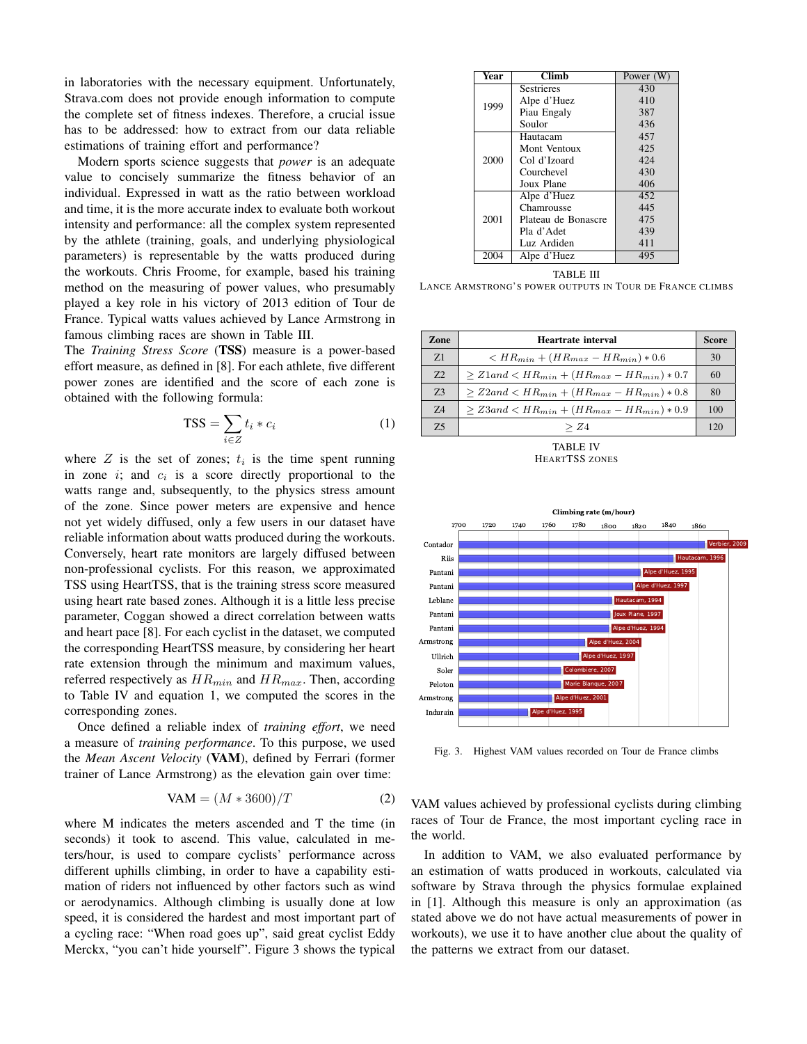in laboratories with the necessary equipment. Unfortunately, Strava.com does not provide enough information to compute the complete set of fitness indexes. Therefore, a crucial issue has to be addressed: how to extract from our data reliable estimations of training effort and performance?

Modern sports science suggests that *power* is an adequate value to concisely summarize the fitness behavior of an individual. Expressed in watt as the ratio between workload and time, it is the more accurate index to evaluate both workout intensity and performance: all the complex system represented by the athlete (training, goals, and underlying physiological parameters) is representable by the watts produced during the workouts. Chris Froome, for example, based his training method on the measuring of power values, who presumably played a key role in his victory of 2013 edition of Tour de France. Typical watts values achieved by Lance Armstrong in famous climbing races are shown in Table III.

The *Training Stress Score* (TSS) measure is a power-based effort measure, as defined in [8]. For each athlete, five different power zones are identified and the score of each zone is obtained with the following formula:

$$
TSS = \sum_{i \in Z} t_i * c_i \tag{1}
$$

where  $Z$  is the set of zones;  $t_i$  is the time spent running in zone  $i$ ; and  $c_i$  is a score directly proportional to the watts range and, subsequently, to the physics stress amount of the zone. Since power meters are expensive and hence not yet widely diffused, only a few users in our dataset have reliable information about watts produced during the workouts. Conversely, heart rate monitors are largely diffused between non-professional cyclists. For this reason, we approximated TSS using HeartTSS, that is the training stress score measured using heart rate based zones. Although it is a little less precise parameter, Coggan showed a direct correlation between watts and heart pace [8]. For each cyclist in the dataset, we computed the corresponding HeartTSS measure, by considering her heart rate extension through the minimum and maximum values, referred respectively as  $HR_{min}$  and  $HR_{max}$ . Then, according to Table IV and equation 1, we computed the scores in the corresponding zones.

Once defined a reliable index of *training effort*, we need a measure of *training performance*. To this purpose, we used the *Mean Ascent Velocity* (VAM), defined by Ferrari (former trainer of Lance Armstrong) as the elevation gain over time:

$$
VAM = (M * 3600)/T
$$
 (2)

where M indicates the meters ascended and T the time (in seconds) it took to ascend. This value, calculated in meters/hour, is used to compare cyclists' performance across different uphills climbing, in order to have a capability estimation of riders not influenced by other factors such as wind or aerodynamics. Although climbing is usually done at low speed, it is considered the hardest and most important part of a cycling race: "When road goes up", said great cyclist Eddy Merckx, "you can't hide yourself". Figure 3 shows the typical

| Year | <b>Climb</b>        | Power (W) |
|------|---------------------|-----------|
|      | <b>Sestrieres</b>   | 430       |
| 1999 | Alpe d'Huez         | 410       |
|      | Piau Engaly         | 387       |
|      | Soulor              | 436       |
|      | Hautacam            | 457       |
| 2000 | Mont Ventoux        | 425       |
|      | Col d'Izoard        | 424       |
|      | Courchevel          | 430       |
|      | Joux Plane          | 406       |
|      | Alpe d'Huez         | 452       |
|      | Chamrousse          | 445       |
| 2001 | Plateau de Bonascre | 475       |
|      | Pla d'Adet          | 439       |
|      | Luz Ardiden         | 411       |
| 2004 | Alpe d'Huez         | 495       |

TABLE III LANCE ARMSTRONG'S POWER OUTPUTS IN TOUR DE FRANCE CLIMBS

| Zone      | Heartrate interval                                          |     |
|-----------|-------------------------------------------------------------|-----|
| Z1        | $\rm < HR_{min} + (HR_{max} - HR_{min}) * 0.6$              | 30  |
| 7.2       | $> Z1$ and $< H R_{min} + (HR_{max} - HR_{min}) * 0.7$      | 60  |
| 73        | $> Z2$ and $< H R_{min} + (H R_{max} - H R_{min}) * 0.8$    | 80  |
| 74        | $\geq Z3$ and $\lt H R_{min} + (HR_{max} - HR_{min}) * 0.9$ | 100 |
| 7.5       | > Z4                                                        | 120 |
| TARI E IV |                                                             |     |

HEARTTSS ZONES



Fig. 3. Highest VAM values recorded on Tour de France climbs

VAM values achieved by professional cyclists during climbing races of Tour de France, the most important cycling race in the world.

In addition to VAM, we also evaluated performance by an estimation of watts produced in workouts, calculated via software by Strava through the physics formulae explained in [1]. Although this measure is only an approximation (as stated above we do not have actual measurements of power in workouts), we use it to have another clue about the quality of the patterns we extract from our dataset.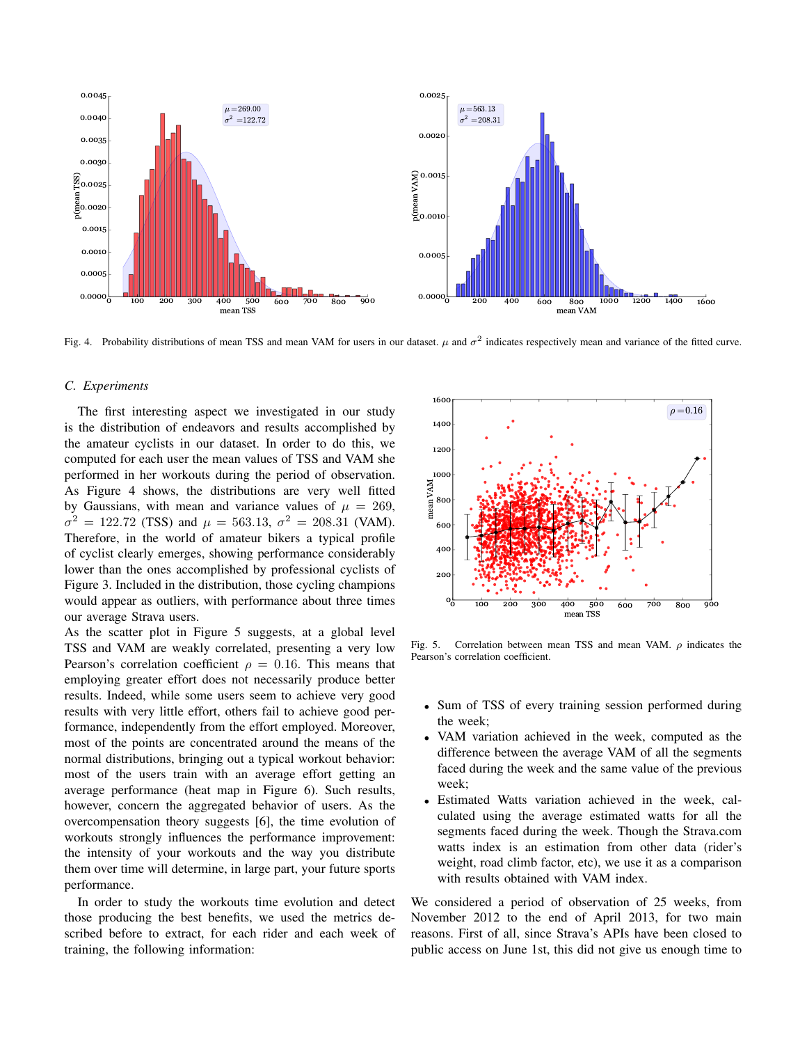

Fig. 4. Probability distributions of mean TSS and mean VAM for users in our dataset.  $\mu$  and  $\sigma^2$  indicates respectively mean and variance of the fitted curve.

#### *C. Experiments*

The first interesting aspect we investigated in our study is the distribution of endeavors and results accomplished by the amateur cyclists in our dataset. In order to do this, we computed for each user the mean values of TSS and VAM she performed in her workouts during the period of observation. As Figure 4 shows, the distributions are very well fitted by Gaussians, with mean and variance values of  $\mu = 269$ ,  $\sigma^2 = 122.72$  (TSS) and  $\mu = 563.13$ ,  $\sigma^2 = 208.31$  (VAM). Therefore, in the world of amateur bikers a typical profile of cyclist clearly emerges, showing performance considerably lower than the ones accomplished by professional cyclists of Figure 3. Included in the distribution, those cycling champions would appear as outliers, with performance about three times our average Strava users.

As the scatter plot in Figure 5 suggests, at a global level TSS and VAM are weakly correlated, presenting a very low Pearson's correlation coefficient  $\rho = 0.16$ . This means that employing greater effort does not necessarily produce better results. Indeed, while some users seem to achieve very good results with very little effort, others fail to achieve good performance, independently from the effort employed. Moreover, most of the points are concentrated around the means of the normal distributions, bringing out a typical workout behavior: most of the users train with an average effort getting an average performance (heat map in Figure 6). Such results, however, concern the aggregated behavior of users. As the overcompensation theory suggests [6], the time evolution of workouts strongly influences the performance improvement: the intensity of your workouts and the way you distribute them over time will determine, in large part, your future sports performance.

In order to study the workouts time evolution and detect those producing the best benefits, we used the metrics described before to extract, for each rider and each week of training, the following information:



Fig. 5. Correlation between mean TSS and mean VAM.  $\rho$  indicates the Pearson's correlation coefficient.

- Sum of TSS of every training session performed during the week;
- VAM variation achieved in the week, computed as the difference between the average VAM of all the segments faced during the week and the same value of the previous week;
- Estimated Watts variation achieved in the week, calculated using the average estimated watts for all the segments faced during the week. Though the Strava.com watts index is an estimation from other data (rider's weight, road climb factor, etc), we use it as a comparison with results obtained with VAM index.

We considered a period of observation of 25 weeks, from November 2012 to the end of April 2013, for two main reasons. First of all, since Strava's APIs have been closed to public access on June 1st, this did not give us enough time to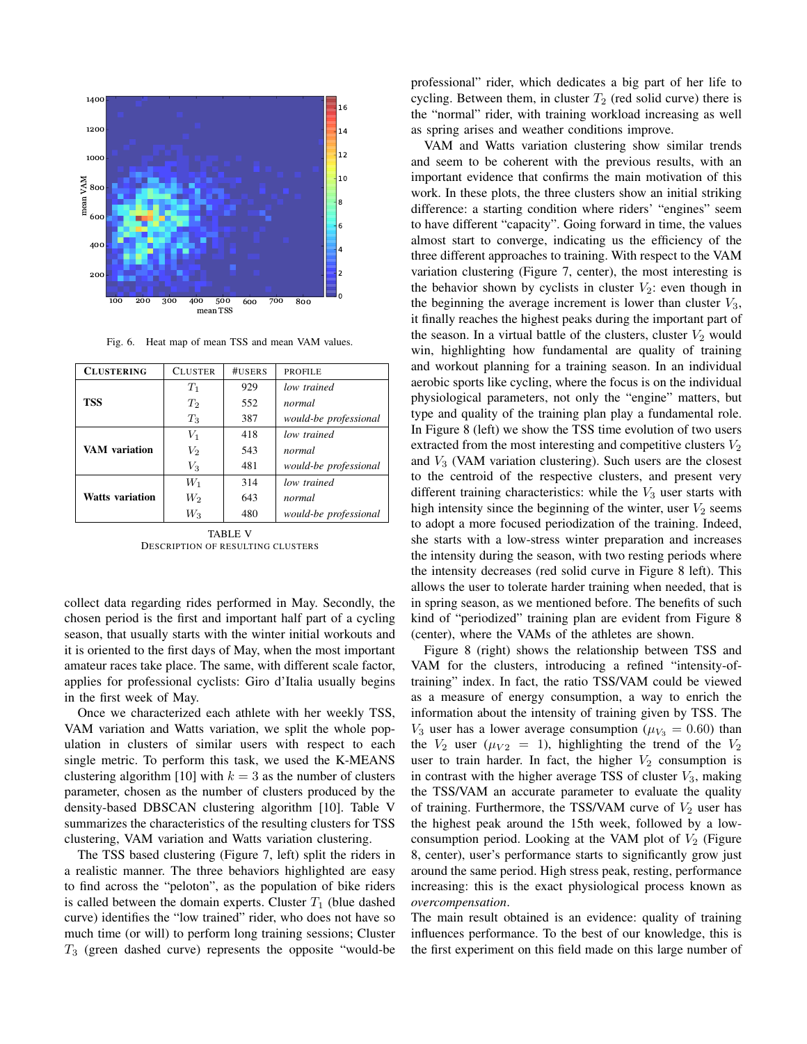

Fig. 6. Heat map of mean TSS and mean VAM values.

| <b>CLUSTERING</b>      | <b>CLUSTER</b> | #USERS | <b>PROFILE</b>        |
|------------------------|----------------|--------|-----------------------|
|                        |                |        |                       |
|                        | $T_1$          | 929    | low trained           |
| <b>TSS</b>             | $T_2$          | 552    | normal                |
|                        | $T_3$          | 387    | would-be professional |
| VAM variation          | $V_1$          | 418    | low trained           |
|                        | $V_2$          | 543    | normal                |
|                        | $V_3$          | 481    | would-be professional |
|                        | $W_1$          | 314    | low trained           |
| <b>Watts variation</b> | $W_2$          | 643    | normal                |
|                        | $W_3$          | 480    | would-be professional |

TABLE V DESCRIPTION OF RESULTING CLUSTERS

collect data regarding rides performed in May. Secondly, the chosen period is the first and important half part of a cycling season, that usually starts with the winter initial workouts and it is oriented to the first days of May, when the most important amateur races take place. The same, with different scale factor, applies for professional cyclists: Giro d'Italia usually begins in the first week of May.

Once we characterized each athlete with her weekly TSS, VAM variation and Watts variation, we split the whole population in clusters of similar users with respect to each single metric. To perform this task, we used the K-MEANS clustering algorithm [10] with  $k = 3$  as the number of clusters parameter, chosen as the number of clusters produced by the density-based DBSCAN clustering algorithm [10]. Table V summarizes the characteristics of the resulting clusters for TSS clustering, VAM variation and Watts variation clustering.

The TSS based clustering (Figure 7, left) split the riders in a realistic manner. The three behaviors highlighted are easy to find across the "peloton", as the population of bike riders is called between the domain experts. Cluster  $T_1$  (blue dashed curve) identifies the "low trained" rider, who does not have so much time (or will) to perform long training sessions; Cluster  $T_3$  (green dashed curve) represents the opposite "would-be professional" rider, which dedicates a big part of her life to cycling. Between them, in cluster  $T_2$  (red solid curve) there is the "normal" rider, with training workload increasing as well as spring arises and weather conditions improve.

VAM and Watts variation clustering show similar trends and seem to be coherent with the previous results, with an important evidence that confirms the main motivation of this work. In these plots, the three clusters show an initial striking difference: a starting condition where riders' "engines" seem to have different "capacity". Going forward in time, the values almost start to converge, indicating us the efficiency of the three different approaches to training. With respect to the VAM variation clustering (Figure 7, center), the most interesting is the behavior shown by cyclists in cluster  $V_2$ : even though in the beginning the average increment is lower than cluster  $V_3$ , it finally reaches the highest peaks during the important part of the season. In a virtual battle of the clusters, cluster  $V_2$  would win, highlighting how fundamental are quality of training and workout planning for a training season. In an individual aerobic sports like cycling, where the focus is on the individual physiological parameters, not only the "engine" matters, but type and quality of the training plan play a fundamental role. In Figure 8 (left) we show the TSS time evolution of two users extracted from the most interesting and competitive clusters  $V_2$ and  $V_3$  (VAM variation clustering). Such users are the closest to the centroid of the respective clusters, and present very different training characteristics: while the  $V_3$  user starts with high intensity since the beginning of the winter, user  $V_2$  seems to adopt a more focused periodization of the training. Indeed, she starts with a low-stress winter preparation and increases the intensity during the season, with two resting periods where the intensity decreases (red solid curve in Figure 8 left). This allows the user to tolerate harder training when needed, that is in spring season, as we mentioned before. The benefits of such kind of "periodized" training plan are evident from Figure 8 (center), where the VAMs of the athletes are shown.

Figure 8 (right) shows the relationship between TSS and VAM for the clusters, introducing a refined "intensity-oftraining" index. In fact, the ratio TSS/VAM could be viewed as a measure of energy consumption, a way to enrich the information about the intensity of training given by TSS. The  $V_3$  user has a lower average consumption ( $\mu_{V_3} = 0.60$ ) than the  $V_2$  user ( $\mu_{V2} = 1$ ), highlighting the trend of the  $V_2$ user to train harder. In fact, the higher  $V_2$  consumption is in contrast with the higher average TSS of cluster  $V_3$ , making the TSS/VAM an accurate parameter to evaluate the quality of training. Furthermore, the TSS/VAM curve of  $V_2$  user has the highest peak around the 15th week, followed by a lowconsumption period. Looking at the VAM plot of  $V_2$  (Figure 8, center), user's performance starts to significantly grow just around the same period. High stress peak, resting, performance increasing: this is the exact physiological process known as *overcompensation*.

The main result obtained is an evidence: quality of training influences performance. To the best of our knowledge, this is the first experiment on this field made on this large number of